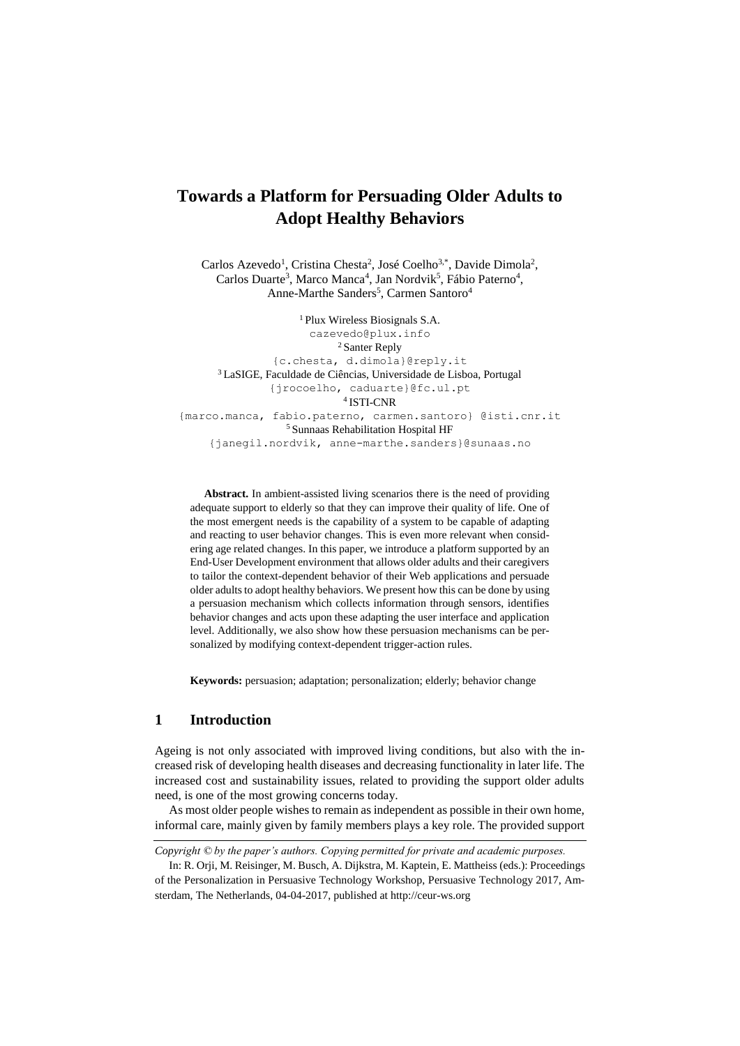# <span id="page-0-0"></span>**Towards a Platform for Persuading Older Adults to Adopt Healthy Behaviors**

Carlos Azevedo<sup>1</sup>, Cristina Chesta<sup>2</sup>, José Coelho<sup>3,\*</sup>, Davide Dimola<sup>2</sup>, Carlos Duarte<sup>3</sup>, Marco Manca<sup>4</sup>, Jan Nordvik<sup>5</sup>, Fábio Paterno<sup>4</sup>, Anne-Marthe Sanders<sup>5</sup>, Carmen Santoro<sup>4</sup>

<sup>1</sup> Plux Wireless Biosignals S.A. [cazevedo@plux.info](mailto:cazevedo@plux.info) <sup>2</sup> Santer Reply {c.chesta, [d.dimola}@reply.it](mailto:d.dimola%7d@reply.it) <sup>3</sup> LaSIGE, Faculdade de Ciências, Universidade de Lisboa, Portugal {jrocoelho, caduarte}@fc.ul.pt 4 ISTI-CNR {marco.manca, fabio.paterno, carmen.santoro} @isti.cnr.it <sup>5</sup> Sunnaas Rehabilitation Hospital HF {janegil.nordvik, anne-marthe.sanders}@sunaas.no

**Abstract.** In ambient-assisted living scenarios there is the need of providing adequate support to elderly so that they can improve their quality of life. One of the most emergent needs is the capability of a system to be capable of adapting and reacting to user behavior changes. This is even more relevant when considering age related changes. In this paper, we introduce a platform supported by an End-User Development environment that allows older adults and their caregivers to tailor the context-dependent behavior of their Web applications and persuade older adults to adopt healthy behaviors. We present how this can be done by using a persuasion mechanism which collects information through sensors, identifies behavior changes and acts upon these adapting the user interface and application level. Additionally, we also show how these persuasion mechanisms can be personalized by modifying context-dependent trigger-action rules.

**Keywords:** persuasion; adaptation; personalization; elderly; behavior change

## **1 Introduction**

Ageing is not only associated with improved living conditions, but also with the increased risk of developing health diseases and decreasing functionality in later life. The increased cost and sustainability issues, related to providing the support older adults need, is one of the most growing concerns today.

As most older people wishes to remain as independent as possible in their own home, informal care, mainly given by family members plays a key role. The provided support

*Copyright © by the paper's authors. Copying permitted for private and academic purposes.*

In: R. Orji, M. Reisinger, M. Busch, A. Dijkstra, M. Kaptein, E. Mattheiss (eds.): Proceedings of the Personalization in Persuasive Technology Workshop, Persuasive Technology 2017, Amsterdam, The Netherlands, 04-04-2017, published at http://ceur-ws.org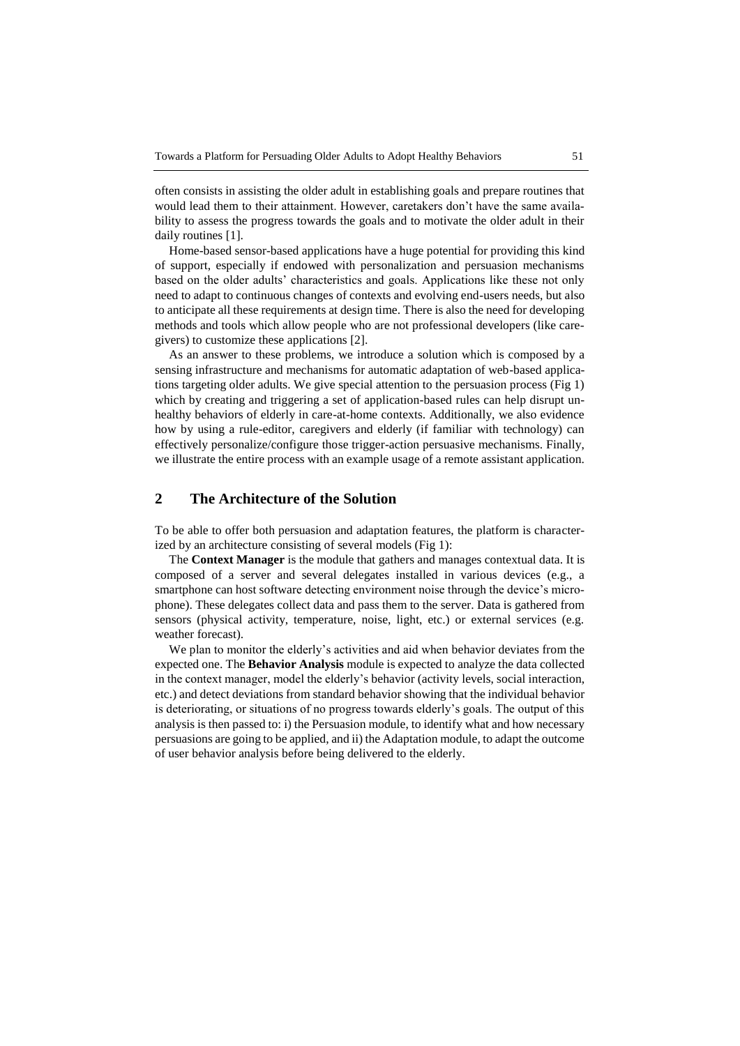often consists in assisting the older adult in establishing goals and prepare routines that would lead them to their attainment. However, caretakers don't have the same availability to assess the progress towards the goals and to motivate the older adult in their daily routines [1].

Home-based sensor-based applications have a huge potential for providing this kind of support, especially if endowed with personalization and persuasion mechanisms based on the older adults' characteristics and goals. Applications like these not only need to adapt to continuous changes of contexts and evolving end-users needs, but also to anticipate all these requirements at design time. There is also the need for developing methods and tools which allow people who are not professional developers (like caregivers) to customize these applications [2].

As an answer to these problems, we introduce a solution which is composed by a sensing infrastructure and mechanisms for automatic adaptation of web-based applications targeting older adults. We give special attention to the persuasion process (Fig 1) which by creating and triggering a set of application-based rules can help disrupt unhealthy behaviors of elderly in care-at-home contexts. Additionally, we also evidence how by using a rule-editor, caregivers and elderly (if familiar with technology) can effectively personalize/configure those trigger-action persuasive mechanisms. Finally, we illustrate the entire process with an example usage of a remote assistant application.

# **2 The Architecture of the Solution**

To be able to offer both persuasion and adaptation features, the platform is characterized by an architecture consisting of several models (Fig 1):

The **Context Manager** is the module that gathers and manages contextual data. It is composed of a server and several delegates installed in various devices (e.g., a smartphone can host software detecting environment noise through the device's microphone). These delegates collect data and pass them to the server. Data is gathered from sensors (physical activity, temperature, noise, light, etc.) or external services (e.g. weather forecast).

We plan to monitor the elderly's activities and aid when behavior deviates from the expected one. The **Behavior Analysis** module is expected to analyze the data collected in the context manager, model the elderly's behavior (activity levels, social interaction, etc.) and detect deviations from standard behavior showing that the individual behavior is deteriorating, or situations of no progress towards elderly's goals. The output of this analysis is then passed to: i) the Persuasion module, to identify what and how necessary persuasions are going to be applied, and ii) the Adaptation module, to adapt the outcome of user behavior analysis before being delivered to the elderly.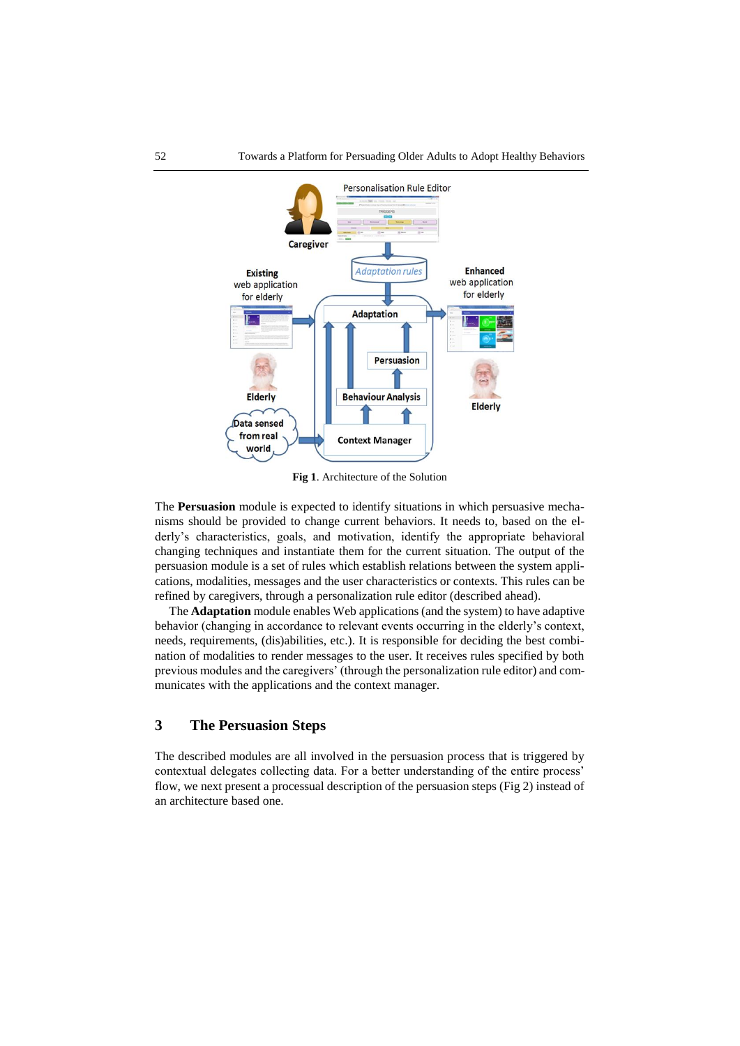

**Fig 1**. Architecture of the Solution

The **Persuasion** module is expected to identify situations in which persuasive mechanisms should be provided to change current behaviors. It needs to, based on the elderly's characteristics, goals, and motivation, identify the appropriate behavioral changing techniques and instantiate them for the current situation. The output of the persuasion module is a set of rules which establish relations between the system applications, modalities, messages and the user characteristics or contexts. This rules can be refined by caregivers, through a personalization rule editor (described ahead).

The **Adaptation** module enables Web applications (and the system) to have adaptive behavior (changing in accordance to relevant events occurring in the elderly's context, needs, requirements, (dis)abilities, etc.). It is responsible for deciding the best combination of modalities to render messages to the user. It receives rules specified by both previous modules and the caregivers' (through the personalization rule editor) and communicates with the applications and the context manager.

## **3 The Persuasion Steps**

The described modules are all involved in the persuasion process that is triggered by contextual delegates collecting data. For a better understanding of the entire process' flow, we next present a processual description of the persuasion steps (Fig 2) instead of an architecture based one.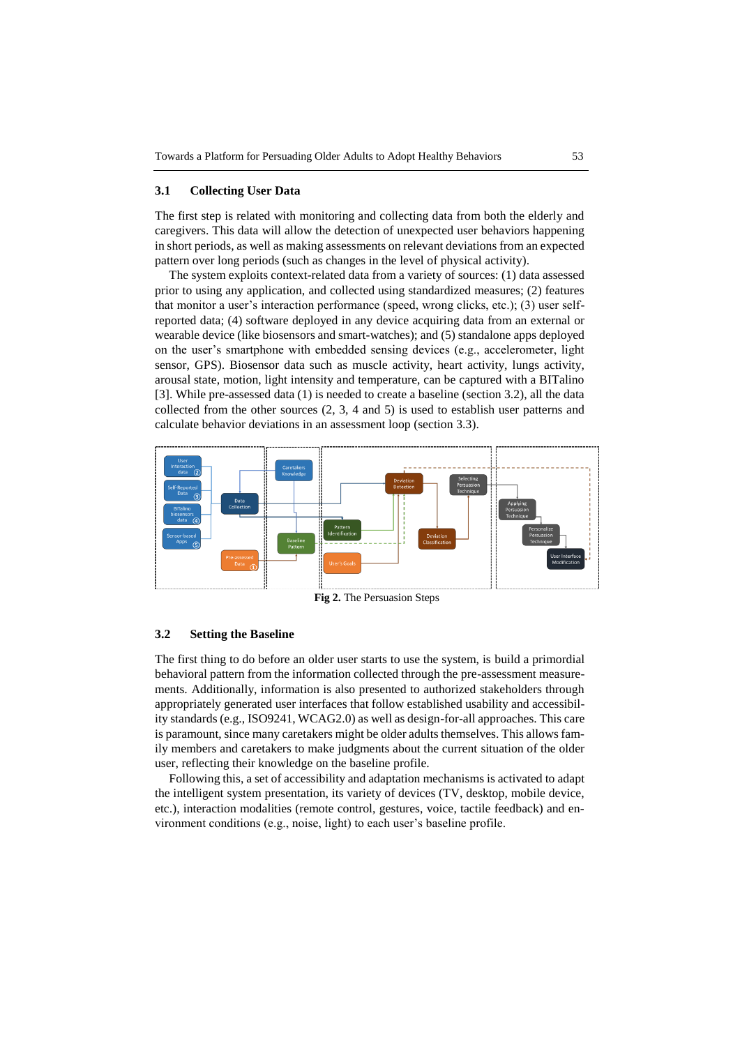#### **3.1 Collecting User Data**

The first step is related with monitoring and collecting data from both the elderly and caregivers. This data will allow the detection of unexpected user behaviors happening in short periods, as well as making assessments on relevant deviations from an expected pattern over long periods (such as changes in the level of physical activity).

The system exploits context-related data from a variety of sources: (1) data assessed prior to using any application, and collected using standardized measures; (2) features that monitor a user's interaction performance (speed, wrong clicks, etc.); (3) user selfreported data; (4) software deployed in any device acquiring data from an external or wearable device (like biosensors and smart-watches); and (5) standalone apps deployed on the user's smartphone with embedded sensing devices (e.g., accelerometer, light sensor, GPS). Biosensor data such as muscle activity, heart activity, lungs activity, arousal state, motion, light intensity and temperature, can be captured with a BITalino [3]. While pre-assessed data (1) is needed to create a baseline (section 3.2), all the data collected from the other sources (2, 3, 4 and 5) is used to establish user patterns and calculate behavior deviations in an assessment loop (section 3.3).



**Fig 2.** The Persuasion Steps

#### **3.2 Setting the Baseline**

The first thing to do before an older user starts to use the system, is build a primordial behavioral pattern from the information collected through the pre-assessment measurements. Additionally, information is also presented to authorized stakeholders through appropriately generated user interfaces that follow established usability and accessibility standards (e.g., ISO9241, WCAG2.0) as well as design-for-all approaches. This care is paramount, since many caretakers might be older adults themselves. This allows family members and caretakers to make judgments about the current situation of the older user, reflecting their knowledge on the baseline profile.

Following this, a set of accessibility and adaptation mechanisms is activated to adapt the intelligent system presentation, its variety of devices (TV, desktop, mobile device, etc.), interaction modalities (remote control, gestures, voice, tactile feedback) and environment conditions (e.g., noise, light) to each user's baseline profile.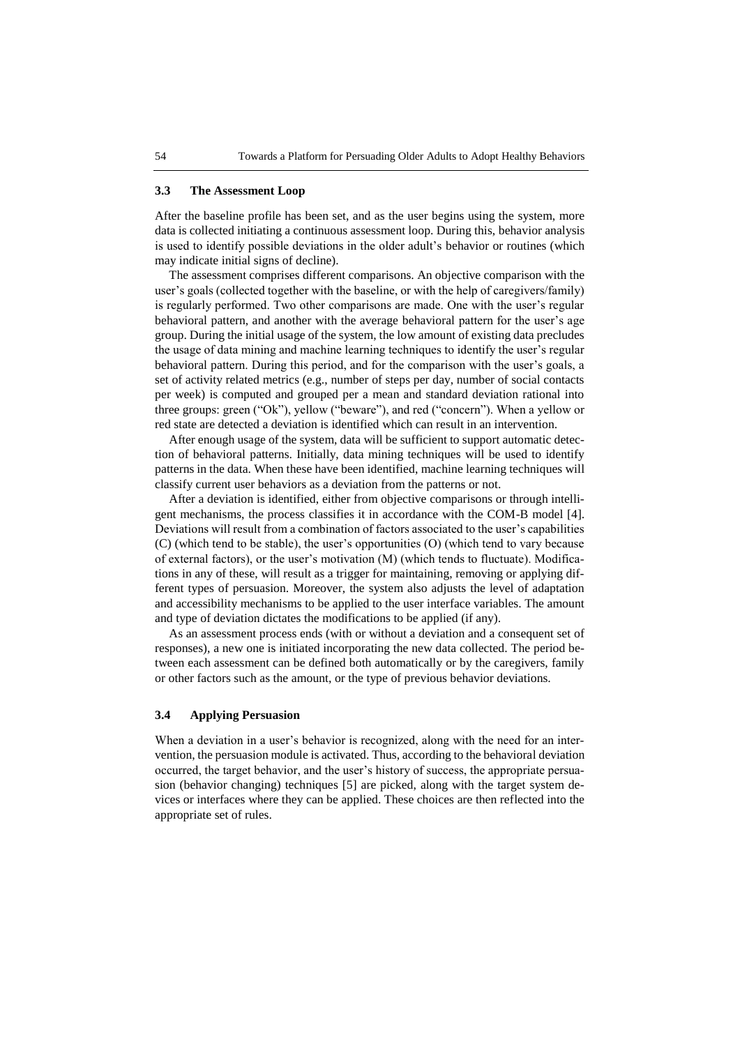#### **3.3 The Assessment Loop**

After the baseline profile has been set, and as the user begins using the system, more data is collected initiating a continuous assessment loop. During this, behavior analysis is used to identify possible deviations in the older adult's behavior or routines (which may indicate initial signs of decline).

The assessment comprises different comparisons. An objective comparison with the user's goals (collected together with the baseline, or with the help of caregivers/family) is regularly performed. Two other comparisons are made. One with the user's regular behavioral pattern, and another with the average behavioral pattern for the user's age group. During the initial usage of the system, the low amount of existing data precludes the usage of data mining and machine learning techniques to identify the user's regular behavioral pattern. During this period, and for the comparison with the user's goals, a set of activity related metrics (e.g., number of steps per day, number of social contacts per week) is computed and grouped per a mean and standard deviation rational into three groups: green ("Ok"), yellow ("beware"), and red ("concern"). When a yellow or red state are detected a deviation is identified which can result in an intervention.

After enough usage of the system, data will be sufficient to support automatic detection of behavioral patterns. Initially, data mining techniques will be used to identify patterns in the data. When these have been identified, machine learning techniques will classify current user behaviors as a deviation from the patterns or not.

After a deviation is identified, either from objective comparisons or through intelligent mechanisms, the process classifies it in accordance with the COM-B model [4]. Deviations will result from a combination of factors associated to the user's capabilities (C) (which tend to be stable), the user's opportunities (O) (which tend to vary because of external factors), or the user's motivation (M) (which tends to fluctuate). Modifications in any of these, will result as a trigger for maintaining, removing or applying different types of persuasion. Moreover, the system also adjusts the level of adaptation and accessibility mechanisms to be applied to the user interface variables. The amount and type of deviation dictates the modifications to be applied (if any).

As an assessment process ends (with or without a deviation and a consequent set of responses), a new one is initiated incorporating the new data collected. The period between each assessment can be defined both automatically or by the caregivers, family or other factors such as the amount, or the type of previous behavior deviations.

## **3.4 Applying Persuasion**

When a deviation in a user's behavior is recognized, along with the need for an intervention, the persuasion module is activated. Thus, according to the behavioral deviation occurred, the target behavior, and the user's history of success, the appropriate persuasion (behavior changing) techniques [5] are picked, along with the target system devices or interfaces where they can be applied. These choices are then reflected into the appropriate set of rules.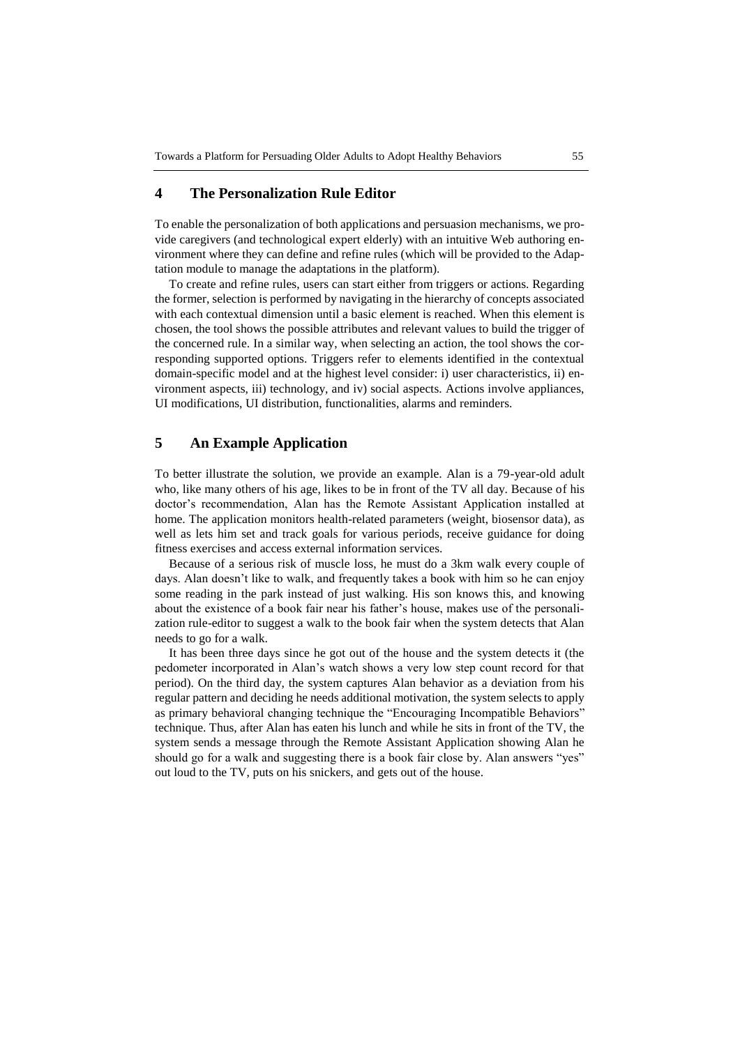# **4 The Personalization Rule Editor**

To enable the personalization of both applications and persuasion mechanisms, we provide caregivers (and technological expert elderly) with an intuitive Web authoring environment where they can define and refine rules (which will be provided to the Adaptation module to manage the adaptations in the platform).

To create and refine rules, users can start either from triggers or actions. Regarding the former, selection is performed by navigating in the hierarchy of concepts associated with each contextual dimension until a basic element is reached. When this element is chosen, the tool shows the possible attributes and relevant values to build the trigger of the concerned rule. In a similar way, when selecting an action, the tool shows the corresponding supported options. Triggers refer to elements identified in the contextual domain-specific model and at the highest level consider: i) user characteristics, ii) environment aspects, iii) technology, and iv) social aspects. Actions involve appliances, UI modifications, UI distribution, functionalities, alarms and reminders.

# **5 An Example Application**

To better illustrate the solution, we provide an example. Alan is a 79-year-old adult who, like many others of his age, likes to be in front of the TV all day. Because of his doctor's recommendation, Alan has the Remote Assistant Application installed at home. The application monitors health-related parameters (weight, biosensor data), as well as lets him set and track goals for various periods, receive guidance for doing fitness exercises and access external information services.

Because of a serious risk of muscle loss, he must do a 3km walk every couple of days. Alan doesn't like to walk, and frequently takes a book with him so he can enjoy some reading in the park instead of just walking. His son knows this, and knowing about the existence of a book fair near his father's house, makes use of the personalization rule-editor to suggest a walk to the book fair when the system detects that Alan needs to go for a walk.

It has been three days since he got out of the house and the system detects it (the pedometer incorporated in Alan's watch shows a very low step count record for that period). On the third day, the system captures Alan behavior as a deviation from his regular pattern and deciding he needs additional motivation, the system selects to apply as primary behavioral changing technique the "Encouraging Incompatible Behaviors" technique. Thus, after Alan has eaten his lunch and while he sits in front of the TV, the system sends a message through the Remote Assistant Application showing Alan he should go for a walk and suggesting there is a book fair close by. Alan answers "yes" out loud to the TV, puts on his snickers, and gets out of the house.